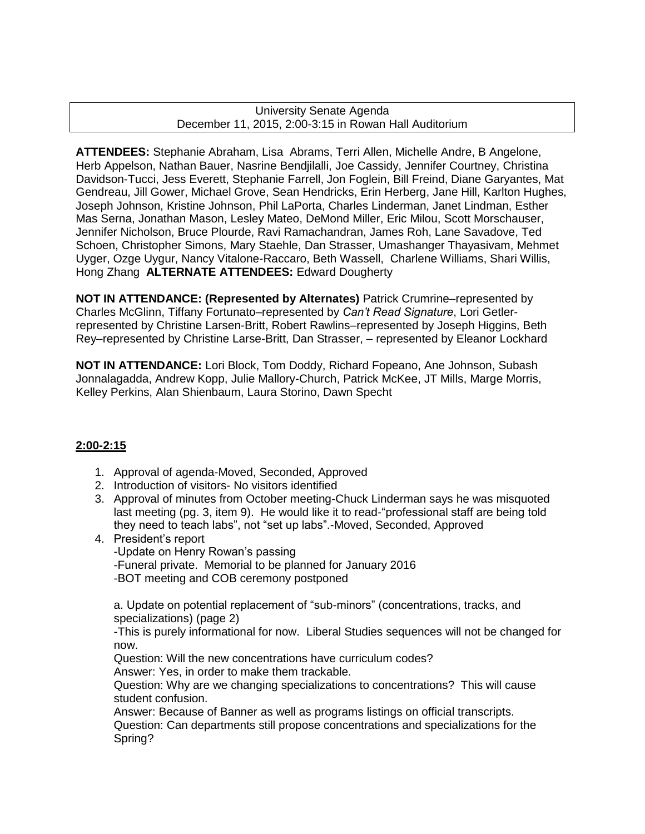### University Senate Agenda December 11, 2015, 2:00-3:15 in Rowan Hall Auditorium

**ATTENDEES:** Stephanie Abraham, Lisa Abrams, Terri Allen, Michelle Andre, B Angelone, Herb Appelson, Nathan Bauer, Nasrine Bendjilalli, Joe Cassidy, Jennifer Courtney, Christina Davidson-Tucci, Jess Everett, Stephanie Farrell, Jon Foglein, Bill Freind, Diane Garyantes, Mat Gendreau, Jill Gower, Michael Grove, Sean Hendricks, Erin Herberg, Jane Hill, Karlton Hughes, Joseph Johnson, Kristine Johnson, Phil LaPorta, Charles Linderman, Janet Lindman, Esther Mas Serna, Jonathan Mason, Lesley Mateo, DeMond Miller, Eric Milou, Scott Morschauser, Jennifer Nicholson, Bruce Plourde, Ravi Ramachandran, James Roh, Lane Savadove, Ted Schoen, Christopher Simons, Mary Staehle, Dan Strasser, Umashanger Thayasivam, Mehmet Uyger, Ozge Uygur, Nancy Vitalone-Raccaro, Beth Wassell, Charlene Williams, Shari Willis, Hong Zhang **ALTERNATE ATTENDEES:** Edward Dougherty

**NOT IN ATTENDANCE: (Represented by Alternates)** Patrick Crumrine–represented by Charles McGlinn, Tiffany Fortunato–represented by *Can't Read Signature*, Lori Getlerrepresented by Christine Larsen-Britt, Robert Rawlins–represented by Joseph Higgins, Beth Rey–represented by Christine Larse-Britt, Dan Strasser, – represented by Eleanor Lockhard

**NOT IN ATTENDANCE:** Lori Block, Tom Doddy, Richard Fopeano, Ane Johnson, Subash Jonnalagadda, Andrew Kopp, Julie Mallory-Church, Patrick McKee, JT Mills, Marge Morris, Kelley Perkins, Alan Shienbaum, Laura Storino, Dawn Specht

### **2:00-2:15**

- 1. Approval of agenda-Moved, Seconded, Approved
- 2. Introduction of visitors- No visitors identified
- 3. Approval of minutes from October meeting-Chuck Linderman says he was misquoted last meeting (pg. 3, item 9). He would like it to read-"professional staff are being told they need to teach labs", not "set up labs".-Moved, Seconded, Approved
- 4. President's report

-Update on Henry Rowan's passing -Funeral private. Memorial to be planned for January 2016 -BOT meeting and COB ceremony postponed

a. Update on potential replacement of "sub-minors" (concentrations, tracks, and specializations) (page 2)

-This is purely informational for now. Liberal Studies sequences will not be changed for now.

Question: Will the new concentrations have curriculum codes? Answer: Yes, in order to make them trackable.

Question: Why are we changing specializations to concentrations? This will cause student confusion.

Answer: Because of Banner as well as programs listings on official transcripts. Question: Can departments still propose concentrations and specializations for the Spring?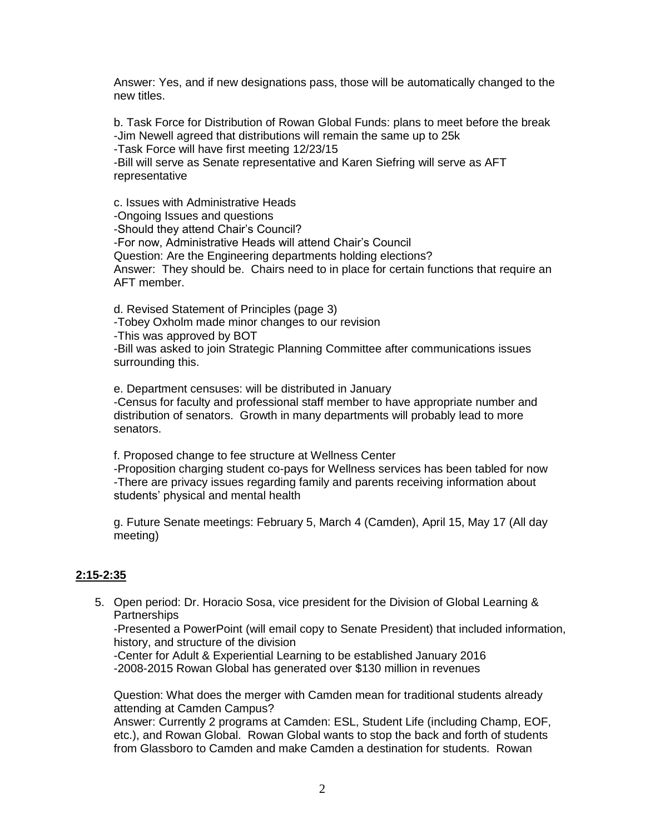Answer: Yes, and if new designations pass, those will be automatically changed to the new titles.

b. Task Force for Distribution of Rowan Global Funds: plans to meet before the break -Jim Newell agreed that distributions will remain the same up to 25k -Task Force will have first meeting 12/23/15 -Bill will serve as Senate representative and Karen Siefring will serve as AFT representative

c. Issues with Administrative Heads -Ongoing Issues and questions -Should they attend Chair's Council? -For now, Administrative Heads will attend Chair's Council Question: Are the Engineering departments holding elections? Answer: They should be. Chairs need to in place for certain functions that require an AFT member.

d. Revised Statement of Principles (page 3) -Tobey Oxholm made minor changes to our revision -This was approved by BOT -Bill was asked to join Strategic Planning Committee after communications issues surrounding this.

e. Department censuses: will be distributed in January -Census for faculty and professional staff member to have appropriate number and distribution of senators. Growth in many departments will probably lead to more senators.

f. Proposed change to fee structure at Wellness Center -Proposition charging student co-pays for Wellness services has been tabled for now -There are privacy issues regarding family and parents receiving information about students' physical and mental health

g. Future Senate meetings: February 5, March 4 (Camden), April 15, May 17 (All day meeting)

### **2:15-2:35**

5. Open period: Dr. Horacio Sosa, vice president for the Division of Global Learning & **Partnerships** 

-Presented a PowerPoint (will email copy to Senate President) that included information, history, and structure of the division

-Center for Adult & Experiential Learning to be established January 2016 -2008-2015 Rowan Global has generated over \$130 million in revenues

Question: What does the merger with Camden mean for traditional students already attending at Camden Campus?

Answer: Currently 2 programs at Camden: ESL, Student Life (including Champ, EOF, etc.), and Rowan Global. Rowan Global wants to stop the back and forth of students from Glassboro to Camden and make Camden a destination for students. Rowan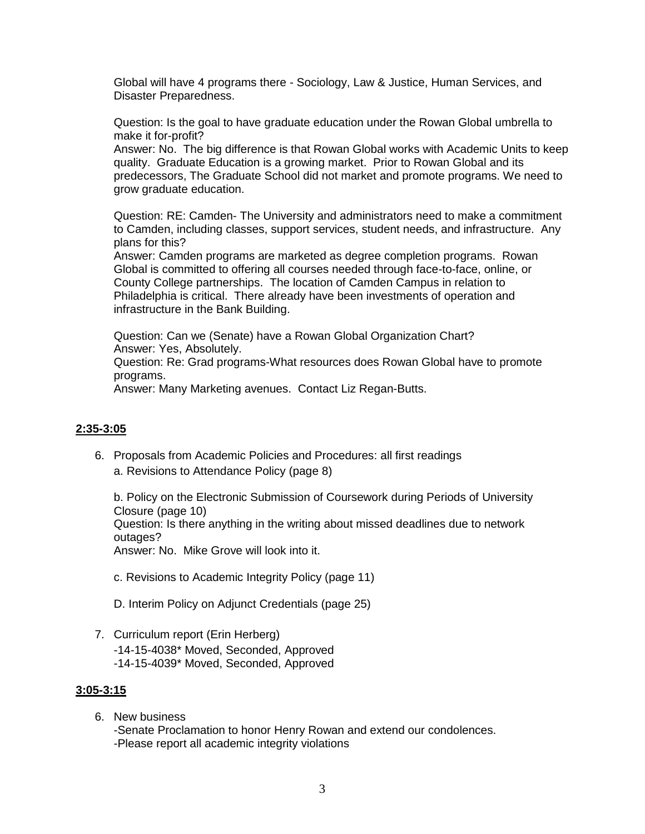Global will have 4 programs there - Sociology, Law & Justice, Human Services, and Disaster Preparedness.

Question: Is the goal to have graduate education under the Rowan Global umbrella to make it for-profit?

Answer: No. The big difference is that Rowan Global works with Academic Units to keep quality. Graduate Education is a growing market. Prior to Rowan Global and its predecessors, The Graduate School did not market and promote programs. We need to grow graduate education.

Question: RE: Camden- The University and administrators need to make a commitment to Camden, including classes, support services, student needs, and infrastructure. Any plans for this?

Answer: Camden programs are marketed as degree completion programs. Rowan Global is committed to offering all courses needed through face-to-face, online, or County College partnerships. The location of Camden Campus in relation to Philadelphia is critical. There already have been investments of operation and infrastructure in the Bank Building.

Question: Can we (Senate) have a Rowan Global Organization Chart? Answer: Yes, Absolutely.

Question: Re: Grad programs-What resources does Rowan Global have to promote programs.

Answer: Many Marketing avenues. Contact Liz Regan-Butts.

#### **2:35-3:05**

6. Proposals from Academic Policies and Procedures: all first readings a. Revisions to Attendance Policy (page 8)

b. Policy on the Electronic Submission of Coursework during Periods of University Closure (page 10)

Question: Is there anything in the writing about missed deadlines due to network outages?

Answer: No. Mike Grove will look into it.

c. Revisions to Academic Integrity Policy (page 11)

D. Interim Policy on Adjunct Credentials (page 25)

7. Curriculum report (Erin Herberg) -14-15-4038\* Moved, Seconded, Approved -14-15-4039\* Moved, Seconded, Approved

#### **3:05-3:15**

6. New business -Senate Proclamation to honor Henry Rowan and extend our condolences. -Please report all academic integrity violations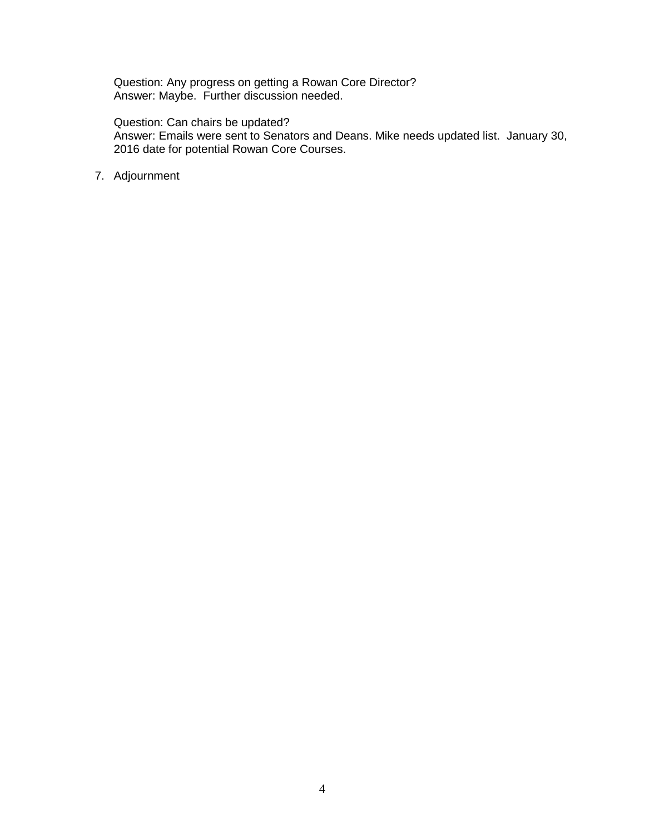Question: Any progress on getting a Rowan Core Director? Answer: Maybe. Further discussion needed.

Question: Can chairs be updated?

Answer: Emails were sent to Senators and Deans. Mike needs updated list. January 30, 2016 date for potential Rowan Core Courses.

7. Adjournment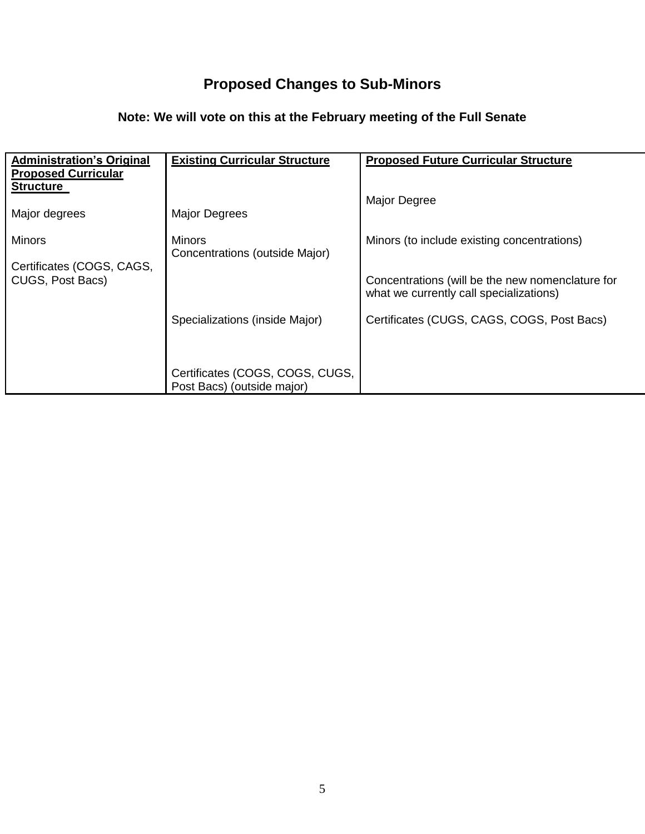# **Proposed Changes to Sub-Minors**

## **Note: We will vote on this at the February meeting of the Full Senate**

| <b>Administration's Original</b><br><b>Proposed Curricular</b><br><b>Structure</b> | <b>Existing Curricular Structure</b>                          | <b>Proposed Future Curricular Structure</b>                                                 |
|------------------------------------------------------------------------------------|---------------------------------------------------------------|---------------------------------------------------------------------------------------------|
|                                                                                    |                                                               | <b>Major Degree</b>                                                                         |
| Major degrees                                                                      | <b>Major Degrees</b>                                          |                                                                                             |
| Minors                                                                             | <b>Minors</b>                                                 | Minors (to include existing concentrations)                                                 |
| Certificates (COGS, CAGS,                                                          | Concentrations (outside Major)                                |                                                                                             |
| CUGS, Post Bacs)                                                                   |                                                               | Concentrations (will be the new nomenclature for<br>what we currently call specializations) |
|                                                                                    | Specializations (inside Major)                                | Certificates (CUGS, CAGS, COGS, Post Bacs)                                                  |
|                                                                                    |                                                               |                                                                                             |
|                                                                                    | Certificates (COGS, COGS, CUGS,<br>Post Bacs) (outside major) |                                                                                             |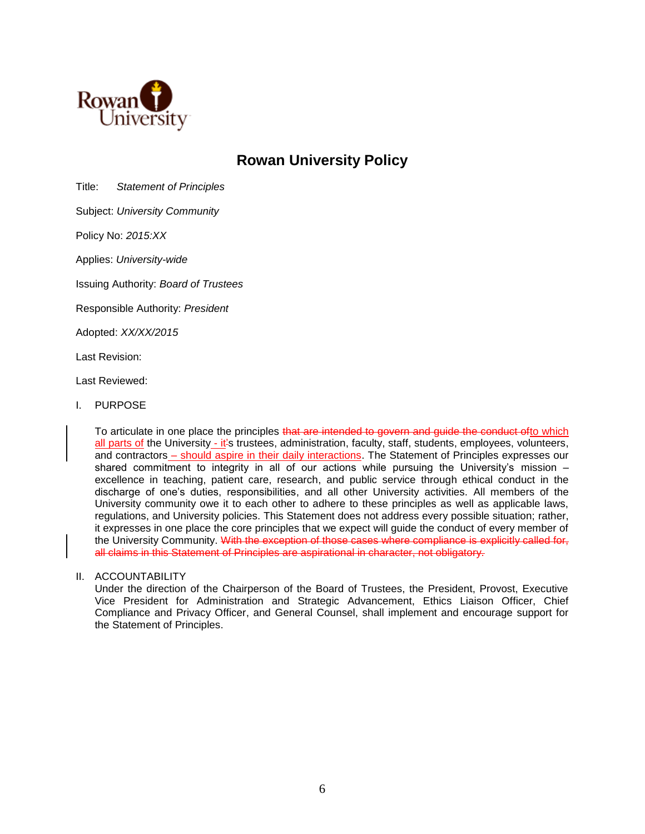

## **Rowan University Policy**

Title: *Statement of Principles*

Subject: *University Community*

Policy No: *2015:XX*

Applies: *University-wide*

Issuing Authority: *Board of Trustees*

Responsible Authority: *President* 

Adopted: *XX/XX/2015*

Last Revision:

Last Reviewed:

I. PURPOSE

To articulate in one place the principles that are intended to govern and guide the conduct ofto which all parts of the University - it's trustees, administration, faculty, staff, students, employees, volunteers, and contractors – should aspire in their daily interactions. The Statement of Principles expresses our shared commitment to integrity in all of our actions while pursuing the University's mission – excellence in teaching, patient care, research, and public service through ethical conduct in the discharge of one's duties, responsibilities, and all other University activities. All members of the University community owe it to each other to adhere to these principles as well as applicable laws, regulations, and University policies. This Statement does not address every possible situation; rather, it expresses in one place the core principles that we expect will guide the conduct of every member of the University Community. With the exception of those cases where compliance is explicitly called for, all claims in this Statement of Principles are aspirational in character, not obligatory.

#### II. ACCOUNTABILITY

Under the direction of the Chairperson of the Board of Trustees, the President, Provost, Executive Vice President for Administration and Strategic Advancement, Ethics Liaison Officer, Chief Compliance and Privacy Officer, and General Counsel, shall implement and encourage support for the Statement of Principles.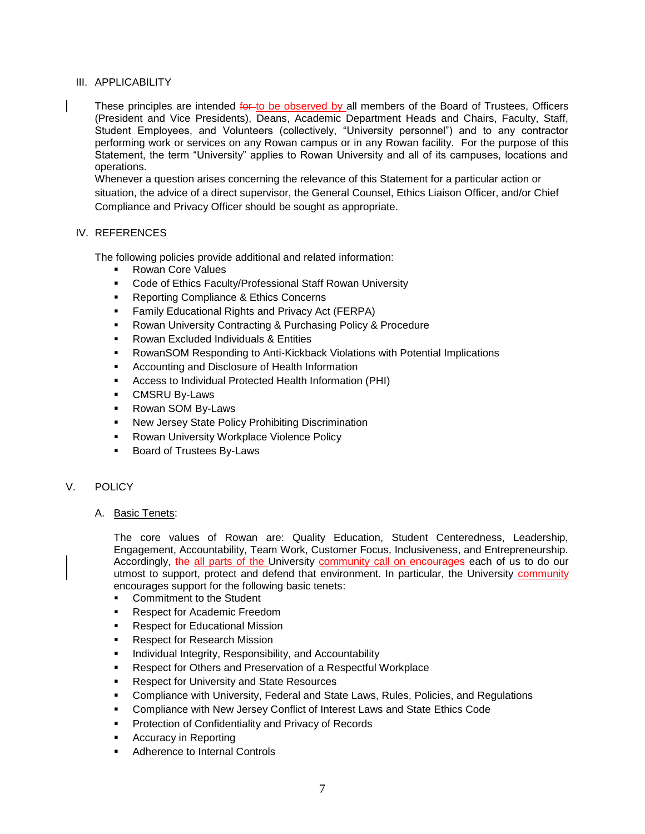#### III. APPLICABILITY

These principles are intended for to be observed by all members of the Board of Trustees, Officers (President and Vice Presidents), Deans, Academic Department Heads and Chairs, Faculty, Staff, Student Employees, and Volunteers (collectively, "University personnel") and to any contractor performing work or services on any Rowan campus or in any Rowan facility. For the purpose of this Statement, the term "University" applies to Rowan University and all of its campuses, locations and operations.

Whenever a question arises concerning the relevance of this Statement for a particular action or situation, the advice of a direct supervisor, the General Counsel, Ethics Liaison Officer, and/or Chief Compliance and Privacy Officer should be sought as appropriate.

#### IV. REFERENCES

The following policies provide additional and related information:

- Rowan Core Values
- Code of Ethics Faculty/Professional Staff Rowan University
- **Reporting Compliance & Ethics Concerns**
- Family Educational Rights and Privacy Act (FERPA)
- Rowan University Contracting & Purchasing Policy & Procedure
- **Rowan Excluded Individuals & Entities**
- RowanSOM Responding to Anti-Kickback Violations with Potential Implications
- Accounting and Disclosure of Health Information
- Access to Individual Protected Health Information (PHI)
- CMSRU By-Laws
- **Rowan SOM By-Laws**
- New Jersey State Policy Prohibiting Discrimination
- Rowan University Workplace Violence Policy
- **Board of Trustees By-Laws**

#### V. POLICY

A. Basic Tenets:

The core values of Rowan are: Quality Education, Student Centeredness, Leadership, Engagement, Accountability, Team Work, Customer Focus, Inclusiveness, and Entrepreneurship. Accordingly, the all parts of the University community call on encourages each of us to do our utmost to support, protect and defend that environment. In particular, the University community encourages support for the following basic tenets:

- **Commitment to the Student**
- Respect for Academic Freedom
- **Respect for Educational Mission**
- **Respect for Research Mission**
- **Individual Integrity, Responsibility, and Accountability**
- Respect for Others and Preservation of a Respectful Workplace
- **Respect for University and State Resources**
- Compliance with University, Federal and State Laws, Rules, Policies, and Regulations
- Compliance with New Jersey Conflict of Interest Laws and State Ethics Code
- **Protection of Confidentiality and Privacy of Records**
- **Accuracy in Reporting**
- Adherence to Internal Controls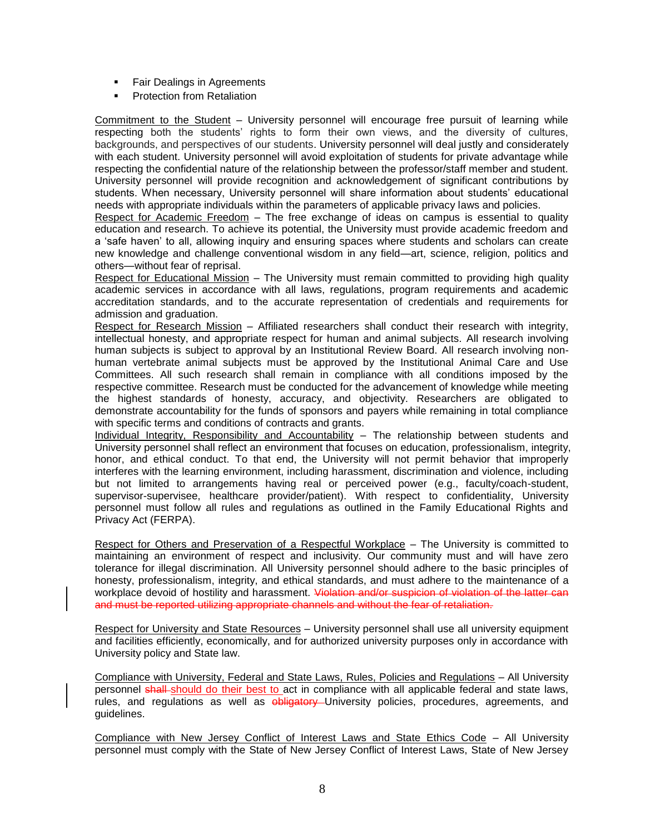- **Fair Dealings in Agreements**
- **•** Protection from Retaliation

Commitment to the Student – University personnel will encourage free pursuit of learning while respecting both the students' rights to form their own views, and the diversity of cultures, backgrounds, and perspectives of our students. University personnel will deal justly and considerately with each student. University personnel will avoid exploitation of students for private advantage while respecting the confidential nature of the relationship between the professor/staff member and student. University personnel will provide recognition and acknowledgement of significant contributions by students. When necessary, University personnel will share information about students' educational needs with appropriate individuals within the parameters of applicable privacy laws and policies.

Respect for Academic Freedom - The free exchange of ideas on campus is essential to quality education and research. To achieve its potential, the University must provide academic freedom and a 'safe haven' to all, allowing inquiry and ensuring spaces where students and scholars can create new knowledge and challenge conventional wisdom in any field—art, science, religion, politics and others—without fear of reprisal.

Respect for Educational Mission – The University must remain committed to providing high quality academic services in accordance with all laws, regulations, program requirements and academic accreditation standards, and to the accurate representation of credentials and requirements for admission and graduation.

Respect for Research Mission – Affiliated researchers shall conduct their research with integrity, intellectual honesty, and appropriate respect for human and animal subjects. All research involving human subjects is subject to approval by an Institutional Review Board. All research involving nonhuman vertebrate animal subjects must be approved by the Institutional Animal Care and Use Committees. All such research shall remain in compliance with all conditions imposed by the respective committee. Research must be conducted for the advancement of knowledge while meeting the highest standards of honesty, accuracy, and objectivity. Researchers are obligated to demonstrate accountability for the funds of sponsors and payers while remaining in total compliance with specific terms and conditions of contracts and grants.

Individual Integrity, Responsibility and Accountability – The relationship between students and University personnel shall reflect an environment that focuses on education, professionalism, integrity, honor, and ethical conduct. To that end, the University will not permit behavior that improperly interferes with the learning environment, including harassment, discrimination and violence, including but not limited to arrangements having real or perceived power (e.g., faculty/coach-student, supervisor-supervisee, healthcare provider/patient). With respect to confidentiality, University personnel must follow all rules and regulations as outlined in the Family Educational Rights and Privacy Act (FERPA).

Respect for Others and Preservation of a Respectful Workplace – The University is committed to maintaining an environment of respect and inclusivity. Our community must and will have zero tolerance for illegal discrimination. All University personnel should adhere to the basic principles of honesty, professionalism, integrity, and ethical standards, and must adhere to the maintenance of a workplace devoid of hostility and harassment. Violation and/or suspicion of violation of the latter can and must be reported utilizing appropriate channels and without the fear of retaliation.

Respect for University and State Resources – University personnel shall use all university equipment and facilities efficiently, economically, and for authorized university purposes only in accordance with University policy and State law.

Compliance with University, Federal and State Laws, Rules, Policies and Regulations – All University personnel shall should do their best to act in compliance with all applicable federal and state laws, rules, and regulations as well as obligatory University policies, procedures, agreements, and guidelines.

Compliance with New Jersey Conflict of Interest Laws and State Ethics Code – All University personnel must comply with the State of New Jersey Conflict of Interest Laws, State of New Jersey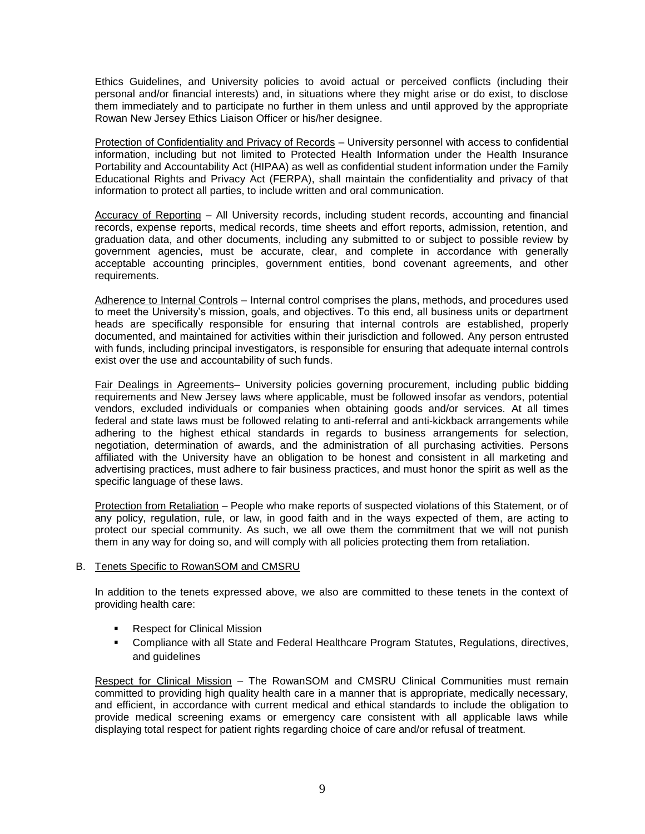Ethics Guidelines, and University policies to avoid actual or perceived conflicts (including their personal and/or financial interests) and, in situations where they might arise or do exist, to disclose them immediately and to participate no further in them unless and until approved by the appropriate Rowan New Jersey Ethics Liaison Officer or his/her designee.

Protection of Confidentiality and Privacy of Records – University personnel with access to confidential information, including but not limited to Protected Health Information under the Health Insurance Portability and Accountability Act (HIPAA) as well as confidential student information under the Family Educational Rights and Privacy Act (FERPA), shall maintain the confidentiality and privacy of that information to protect all parties, to include written and oral communication.

Accuracy of Reporting – All University records, including student records, accounting and financial records, expense reports, medical records, time sheets and effort reports, admission, retention, and graduation data, and other documents, including any submitted to or subject to possible review by government agencies, must be accurate, clear, and complete in accordance with generally acceptable accounting principles, government entities, bond covenant agreements, and other requirements.

Adherence to Internal Controls – Internal control comprises the plans, methods, and procedures used to meet the University's mission, goals, and objectives. To this end, all business units or department heads are specifically responsible for ensuring that internal controls are established, properly documented, and maintained for activities within their jurisdiction and followed. Any person entrusted with funds, including principal investigators, is responsible for ensuring that adequate internal controls exist over the use and accountability of such funds.

Fair Dealings in Agreements– University policies governing procurement, including public bidding requirements and New Jersey laws where applicable, must be followed insofar as vendors, potential vendors, excluded individuals or companies when obtaining goods and/or services. At all times federal and state laws must be followed relating to anti-referral and anti-kickback arrangements while adhering to the highest ethical standards in regards to business arrangements for selection, negotiation, determination of awards, and the administration of all purchasing activities. Persons affiliated with the University have an obligation to be honest and consistent in all marketing and advertising practices, must adhere to fair business practices, and must honor the spirit as well as the specific language of these laws.

Protection from Retaliation – People who make reports of suspected violations of this Statement, or of any policy, regulation, rule, or law, in good faith and in the ways expected of them, are acting to protect our special community. As such, we all owe them the commitment that we will not punish them in any way for doing so, and will comply with all policies protecting them from retaliation.

#### B. Tenets Specific to RowanSOM and CMSRU

In addition to the tenets expressed above, we also are committed to these tenets in the context of providing health care:

- **Respect for Clinical Mission**
- **Compliance with all State and Federal Healthcare Program Statutes, Regulations, directives,** and guidelines

Respect for Clinical Mission – The RowanSOM and CMSRU Clinical Communities must remain committed to providing high quality health care in a manner that is appropriate, medically necessary, and efficient, in accordance with current medical and ethical standards to include the obligation to provide medical screening exams or emergency care consistent with all applicable laws while displaying total respect for patient rights regarding choice of care and/or refusal of treatment.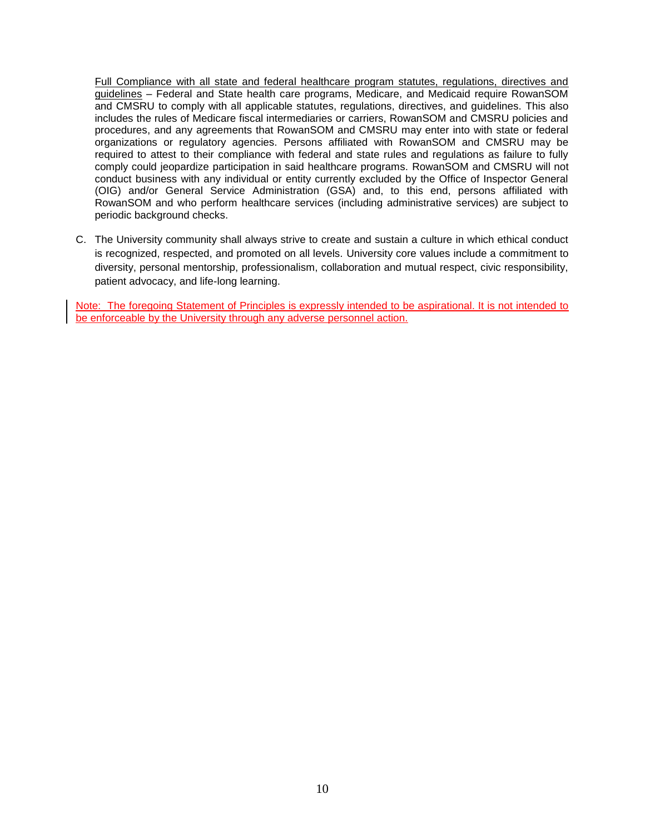Full Compliance with all state and federal healthcare program statutes, regulations, directives and guidelines – Federal and State health care programs, Medicare, and Medicaid require RowanSOM and CMSRU to comply with all applicable statutes, regulations, directives, and guidelines. This also includes the rules of Medicare fiscal intermediaries or carriers, RowanSOM and CMSRU policies and procedures, and any agreements that RowanSOM and CMSRU may enter into with state or federal organizations or regulatory agencies. Persons affiliated with RowanSOM and CMSRU may be required to attest to their compliance with federal and state rules and regulations as failure to fully comply could jeopardize participation in said healthcare programs. RowanSOM and CMSRU will not conduct business with any individual or entity currently excluded by the Office of Inspector General (OIG) and/or General Service Administration (GSA) and, to this end, persons affiliated with RowanSOM and who perform healthcare services (including administrative services) are subject to periodic background checks.

C. The University community shall always strive to create and sustain a culture in which ethical conduct is recognized, respected, and promoted on all levels. University core values include a commitment to diversity, personal mentorship, professionalism, collaboration and mutual respect, civic responsibility, patient advocacy, and life-long learning.

Note: The foregoing Statement of Principles is expressly intended to be aspirational. It is not intended to be enforceable by the University through any adverse personnel action.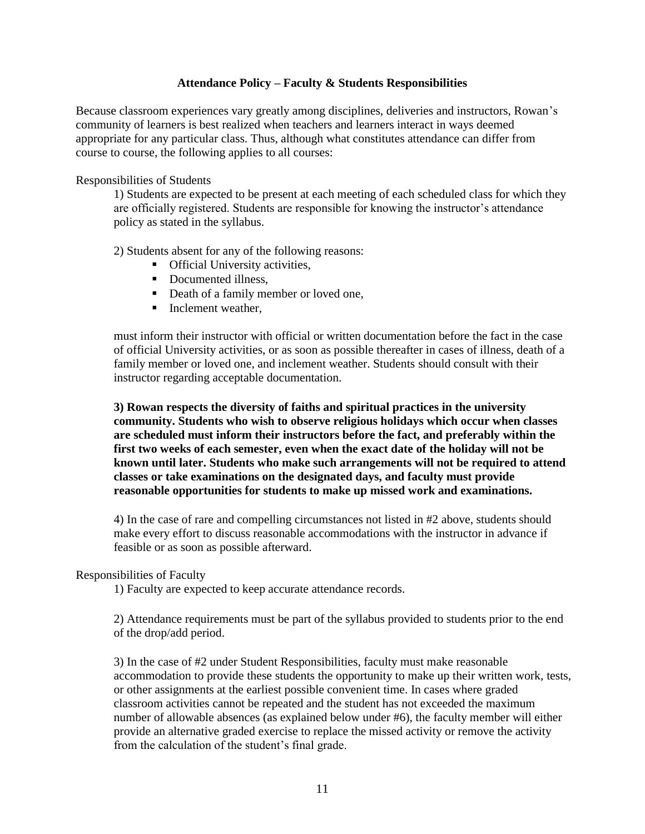### **Attendance Policy – Faculty & Students Responsibilities**

Because classroom experiences vary greatly among disciplines, deliveries and instructors, Rowan's community of learners is best realized when teachers and learners interact in ways deemed appropriate for any particular class. Thus, although what constitutes attendance can differ from course to course, the following applies to all courses:

Responsibilities of Students

1) Students are expected to be present at each meeting of each scheduled class for which they are officially registered. Students are responsible for knowing the instructor's attendance policy as stated in the syllabus.

2) Students absent for any of the following reasons:

- **•** Official University activities,
- Documented illness.
- Death of a family member or loved one,
- $\blacksquare$  Inclement weather,

must inform their instructor with official or written documentation before the fact in the case of official University activities, or as soon as possible thereafter in cases of illness, death of a family member or loved one, and inclement weather. Students should consult with their instructor regarding acceptable documentation.

**3) Rowan respects the diversity of faiths and spiritual practices in the university community. Students who wish to observe religious holidays which occur when classes are scheduled must inform their instructors before the fact, and preferably within the first two weeks of each semester, even when the exact date of the holiday will not be known until later. Students who make such arrangements will not be required to attend classes or take examinations on the designated days, and faculty must provide reasonable opportunities for students to make up missed work and examinations.** 

4) In the case of rare and compelling circumstances not listed in #2 above, students should make every effort to discuss reasonable accommodations with the instructor in advance if feasible or as soon as possible afterward.

#### Responsibilities of Faculty

1) Faculty are expected to keep accurate attendance records.

2) Attendance requirements must be part of the syllabus provided to students prior to the end of the drop/add period.

3) In the case of #2 under Student Responsibilities, faculty must make reasonable accommodation to provide these students the opportunity to make up their written work, tests, or other assignments at the earliest possible convenient time. In cases where graded classroom activities cannot be repeated and the student has not exceeded the maximum number of allowable absences (as explained below under #6), the faculty member will either provide an alternative graded exercise to replace the missed activity or remove the activity from the calculation of the student's final grade.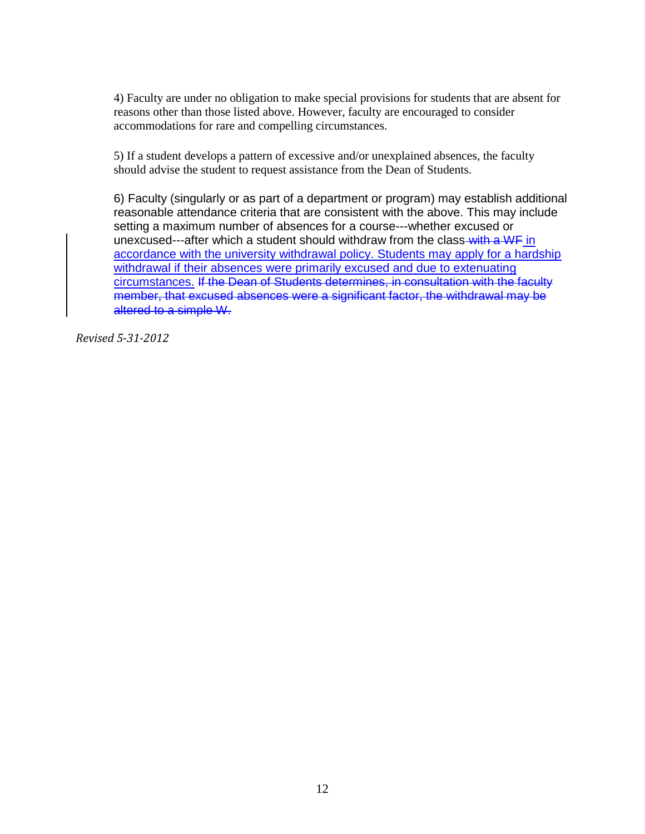4) Faculty are under no obligation to make special provisions for students that are absent for reasons other than those listed above. However, faculty are encouraged to consider accommodations for rare and compelling circumstances.

5) If a student develops a pattern of excessive and/or unexplained absences, the faculty should advise the student to request assistance from the Dean of Students.

6) Faculty (singularly or as part of a department or program) may establish additional reasonable attendance criteria that are consistent with the above. This may include setting a maximum number of absences for a course---whether excused or unexcused---after which a student should withdraw from the class-with a WF in accordance with the university withdrawal policy. Students may apply for a hardship withdrawal if their absences were primarily excused and due to extenuating circumstances. If the Dean of Students determines, in consultation with the faculty member, that excused absences were a significant factor, the withdrawal may be altered to a simple W.

*Revised 5-31-2012*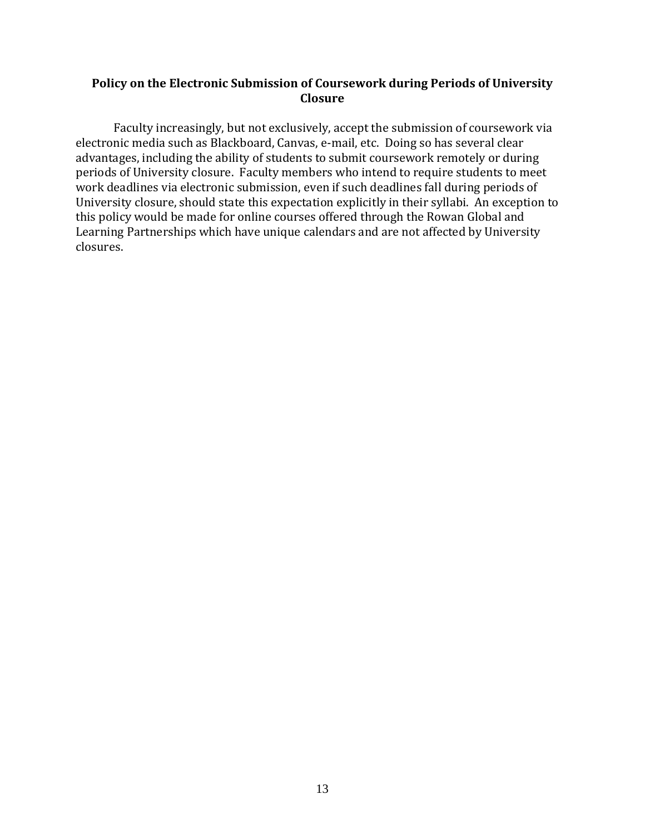### **Policy on the Electronic Submission of Coursework during Periods of University Closure**

Faculty increasingly, but not exclusively, accept the submission of coursework via electronic media such as Blackboard, Canvas, e-mail, etc. Doing so has several clear advantages, including the ability of students to submit coursework remotely or during periods of University closure. Faculty members who intend to require students to meet work deadlines via electronic submission, even if such deadlines fall during periods of University closure, should state this expectation explicitly in their syllabi. An exception to this policy would be made for online courses offered through the Rowan Global and Learning Partnerships which have unique calendars and are not affected by University closures.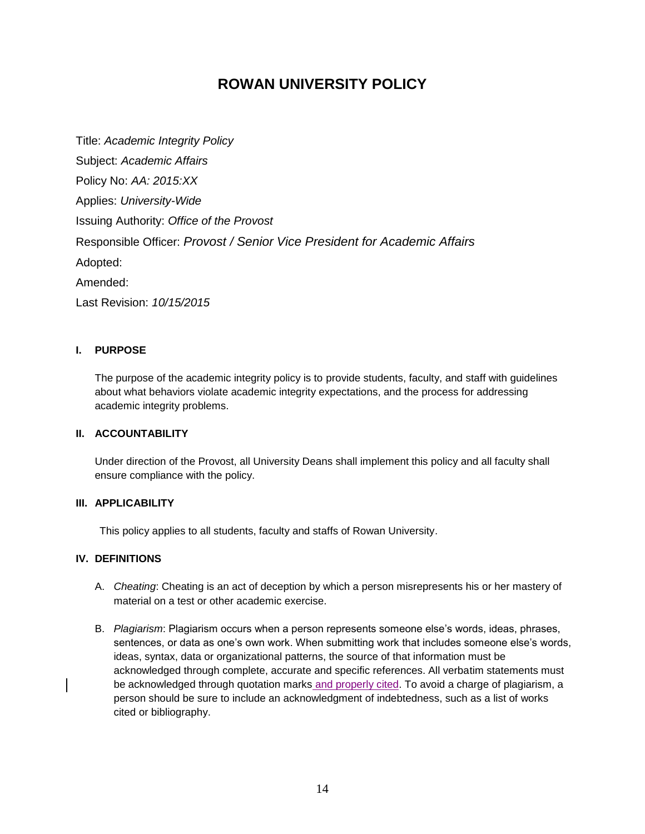## **ROWAN UNIVERSITY POLICY**

Title: *Academic Integrity Policy* Subject: *Academic Affairs* Policy No: *AA: 2015:XX* Applies: *University-Wide* Issuing Authority: *Office of the Provost* Responsible Officer: *Provost / Senior Vice President for Academic Affairs* Adopted: Amended: Last Revision: *10/15/2015*

#### **I. PURPOSE**

The purpose of the academic integrity policy is to provide students, faculty, and staff with guidelines about what behaviors violate academic integrity expectations, and the process for addressing academic integrity problems.

### **II. ACCOUNTABILITY**

Under direction of the Provost, all University Deans shall implement this policy and all faculty shall ensure compliance with the policy.

#### **III. APPLICABILITY**

This policy applies to all students, faculty and staffs of Rowan University.

#### **IV. DEFINITIONS**

- A. *Cheating*: Cheating is an act of deception by which a person misrepresents his or her mastery of material on a test or other academic exercise.
- B. *Plagiarism*: Plagiarism occurs when a person represents someone else's words, ideas, phrases, sentences, or data as one's own work. When submitting work that includes someone else's words, ideas, syntax, data or organizational patterns, the source of that information must be acknowledged through complete, accurate and specific references. All verbatim statements must be acknowledged through quotation marks and properly cited. To avoid a charge of plagiarism, a person should be sure to include an acknowledgment of indebtedness, such as a list of works cited or bibliography.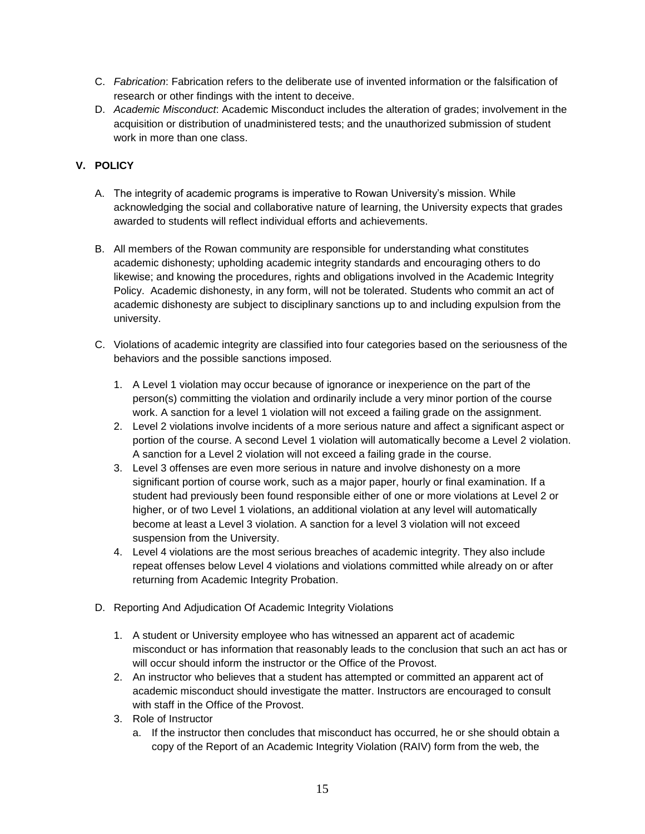- C. *Fabrication*: Fabrication refers to the deliberate use of invented information or the falsification of research or other findings with the intent to deceive.
- D. *Academic Misconduct*: Academic Misconduct includes the alteration of grades; involvement in the acquisition or distribution of unadministered tests; and the unauthorized submission of student work in more than one class.

### **V. POLICY**

- A. The integrity of academic programs is imperative to Rowan University's mission. While acknowledging the social and collaborative nature of learning, the University expects that grades awarded to students will reflect individual efforts and achievements.
- B. All members of the Rowan community are responsible for understanding what constitutes academic dishonesty; upholding academic integrity standards and encouraging others to do likewise; and knowing the procedures, rights and obligations involved in the Academic Integrity Policy. Academic dishonesty, in any form, will not be tolerated. Students who commit an act of academic dishonesty are subject to disciplinary sanctions up to and including expulsion from the university.
- C. Violations of academic integrity are classified into four categories based on the seriousness of the behaviors and the possible sanctions imposed.
	- 1. A Level 1 violation may occur because of ignorance or inexperience on the part of the person(s) committing the violation and ordinarily include a very minor portion of the course work. A sanction for a level 1 violation will not exceed a failing grade on the assignment.
	- 2. Level 2 violations involve incidents of a more serious nature and affect a significant aspect or portion of the course. A second Level 1 violation will automatically become a Level 2 violation. A sanction for a Level 2 violation will not exceed a failing grade in the course.
	- 3. Level 3 offenses are even more serious in nature and involve dishonesty on a more significant portion of course work, such as a major paper, hourly or final examination. If a student had previously been found responsible either of one or more violations at Level 2 or higher, or of two Level 1 violations, an additional violation at any level will automatically become at least a Level 3 violation. A sanction for a level 3 violation will not exceed suspension from the University.
	- 4. Level 4 violations are the most serious breaches of academic integrity. They also include repeat offenses below Level 4 violations and violations committed while already on or after returning from Academic Integrity Probation.
- D. Reporting And Adjudication Of Academic Integrity Violations
	- 1. A student or University employee who has witnessed an apparent act of academic misconduct or has information that reasonably leads to the conclusion that such an act has or will occur should inform the instructor or the Office of the Provost.
	- 2. An instructor who believes that a student has attempted or committed an apparent act of academic misconduct should investigate the matter. Instructors are encouraged to consult with staff in the Office of the Provost.
	- 3. Role of Instructor
		- a. If the instructor then concludes that misconduct has occurred, he or she should obtain a copy of the Report of an Academic Integrity Violation (RAIV) form from the web, the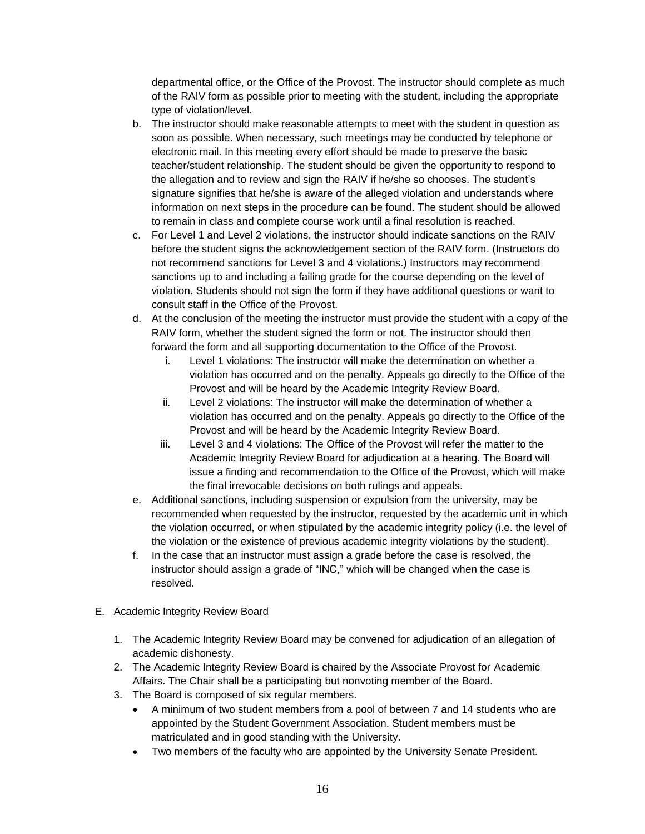departmental office, or the Office of the Provost. The instructor should complete as much of the RAIV form as possible prior to meeting with the student, including the appropriate type of violation/level.

- b. The instructor should make reasonable attempts to meet with the student in question as soon as possible. When necessary, such meetings may be conducted by telephone or electronic mail. In this meeting every effort should be made to preserve the basic teacher/student relationship. The student should be given the opportunity to respond to the allegation and to review and sign the RAIV if he/she so chooses. The student's signature signifies that he/she is aware of the alleged violation and understands where information on next steps in the procedure can be found. The student should be allowed to remain in class and complete course work until a final resolution is reached.
- c. For Level 1 and Level 2 violations, the instructor should indicate sanctions on the RAIV before the student signs the acknowledgement section of the RAIV form. (Instructors do not recommend sanctions for Level 3 and 4 violations.) Instructors may recommend sanctions up to and including a failing grade for the course depending on the level of violation. Students should not sign the form if they have additional questions or want to consult staff in the Office of the Provost.
- d. At the conclusion of the meeting the instructor must provide the student with a copy of the RAIV form, whether the student signed the form or not. The instructor should then forward the form and all supporting documentation to the Office of the Provost.
	- i. Level 1 violations: The instructor will make the determination on whether a violation has occurred and on the penalty. Appeals go directly to the Office of the Provost and will be heard by the Academic Integrity Review Board.
	- ii. Level 2 violations: The instructor will make the determination of whether a violation has occurred and on the penalty. Appeals go directly to the Office of the Provost and will be heard by the Academic Integrity Review Board.
	- iii. Level 3 and 4 violations: The Office of the Provost will refer the matter to the Academic Integrity Review Board for adjudication at a hearing. The Board will issue a finding and recommendation to the Office of the Provost, which will make the final irrevocable decisions on both rulings and appeals.
- e. Additional sanctions, including suspension or expulsion from the university, may be recommended when requested by the instructor, requested by the academic unit in which the violation occurred, or when stipulated by the academic integrity policy (i.e. the level of the violation or the existence of previous academic integrity violations by the student).
- f. In the case that an instructor must assign a grade before the case is resolved, the instructor should assign a grade of "INC," which will be changed when the case is resolved.
- E. Academic Integrity Review Board
	- 1. The Academic Integrity Review Board may be convened for adjudication of an allegation of academic dishonesty.
	- 2. The Academic Integrity Review Board is chaired by the Associate Provost for Academic Affairs. The Chair shall be a participating but nonvoting member of the Board.
	- 3. The Board is composed of six regular members.
		- A minimum of two student members from a pool of between 7 and 14 students who are appointed by the Student Government Association. Student members must be matriculated and in good standing with the University.
		- Two members of the faculty who are appointed by the University Senate President.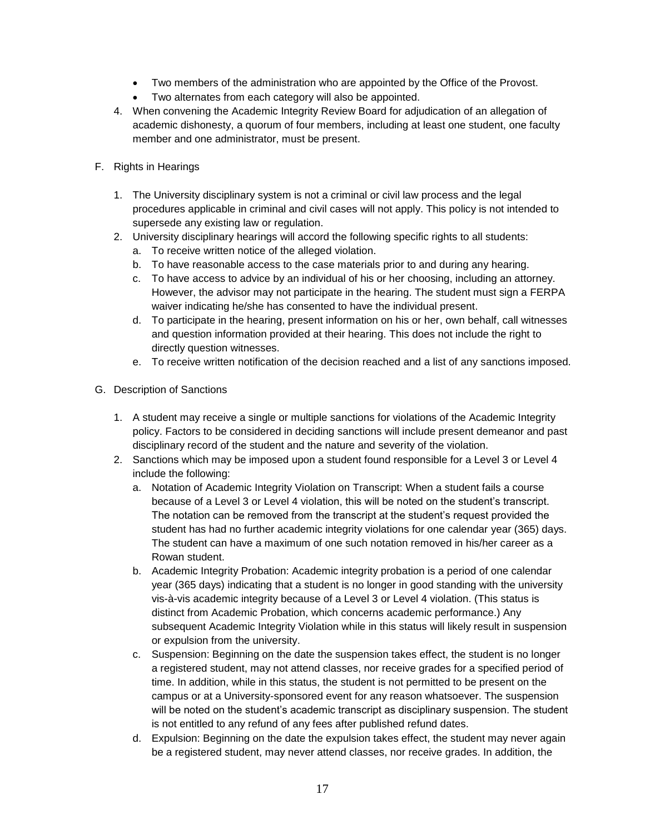- Two members of the administration who are appointed by the Office of the Provost.
- Two alternates from each category will also be appointed.
- 4. When convening the Academic Integrity Review Board for adjudication of an allegation of academic dishonesty, a quorum of four members, including at least one student, one faculty member and one administrator, must be present.
- F. Rights in Hearings
	- 1. The University disciplinary system is not a criminal or civil law process and the legal procedures applicable in criminal and civil cases will not apply. This policy is not intended to supersede any existing law or regulation.
	- 2. University disciplinary hearings will accord the following specific rights to all students:
		- a. To receive written notice of the alleged violation.
		- b. To have reasonable access to the case materials prior to and during any hearing.
		- c. To have access to advice by an individual of his or her choosing, including an attorney. However, the advisor may not participate in the hearing. The student must sign a FERPA waiver indicating he/she has consented to have the individual present.
		- d. To participate in the hearing, present information on his or her, own behalf, call witnesses and question information provided at their hearing. This does not include the right to directly question witnesses.
		- e. To receive written notification of the decision reached and a list of any sanctions imposed.
- G. Description of Sanctions
	- 1. A student may receive a single or multiple sanctions for violations of the Academic Integrity policy. Factors to be considered in deciding sanctions will include present demeanor and past disciplinary record of the student and the nature and severity of the violation.
	- 2. Sanctions which may be imposed upon a student found responsible for a Level 3 or Level 4 include the following:
		- a. Notation of Academic Integrity Violation on Transcript: When a student fails a course because of a Level 3 or Level 4 violation, this will be noted on the student's transcript. The notation can be removed from the transcript at the student's request provided the student has had no further academic integrity violations for one calendar year (365) days. The student can have a maximum of one such notation removed in his/her career as a Rowan student.
		- b. Academic Integrity Probation: Academic integrity probation is a period of one calendar year (365 days) indicating that a student is no longer in good standing with the university vis-à-vis academic integrity because of a Level 3 or Level 4 violation. (This status is distinct from Academic Probation, which concerns academic performance.) Any subsequent Academic Integrity Violation while in this status will likely result in suspension or expulsion from the university.
		- c. Suspension: Beginning on the date the suspension takes effect, the student is no longer a registered student, may not attend classes, nor receive grades for a specified period of time. In addition, while in this status, the student is not permitted to be present on the campus or at a University-sponsored event for any reason whatsoever. The suspension will be noted on the student's academic transcript as disciplinary suspension. The student is not entitled to any refund of any fees after published refund dates.
		- d. Expulsion: Beginning on the date the expulsion takes effect, the student may never again be a registered student, may never attend classes, nor receive grades. In addition, the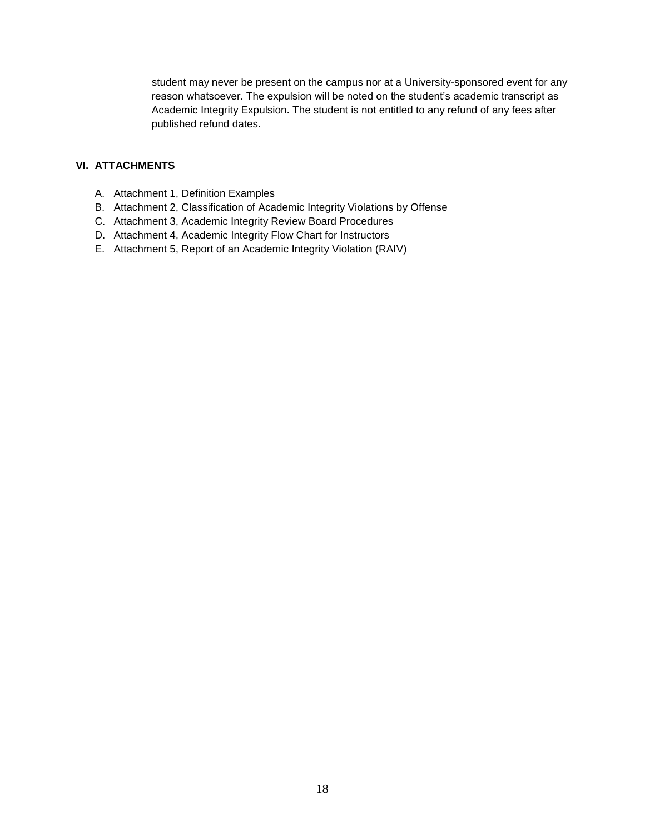student may never be present on the campus nor at a University-sponsored event for any reason whatsoever. The expulsion will be noted on the student's academic transcript as Academic Integrity Expulsion. The student is not entitled to any refund of any fees after published refund dates.

### **VI. ATTACHMENTS**

- A. Attachment 1, Definition Examples
- B. Attachment 2, Classification of Academic Integrity Violations by Offense
- C. Attachment 3, Academic Integrity Review Board Procedures
- D. Attachment 4, Academic Integrity Flow Chart for Instructors
- E. Attachment 5, Report of an Academic Integrity Violation (RAIV)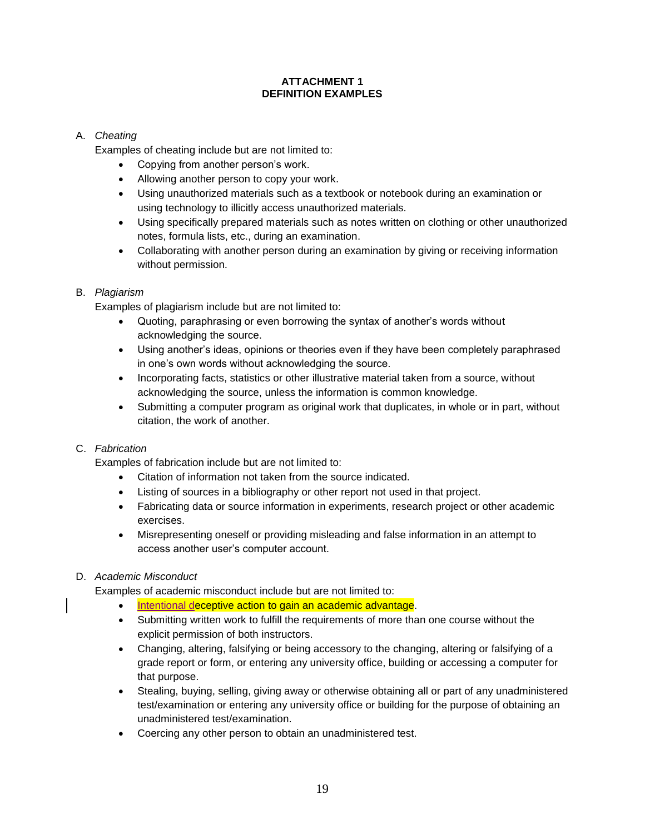### **ATTACHMENT 1 DEFINITION EXAMPLES**

### A. *Cheating*

Examples of cheating include but are not limited to:

- Copying from another person's work.
- Allowing another person to copy your work.
- Using unauthorized materials such as a textbook or notebook during an examination or using technology to illicitly access unauthorized materials.
- Using specifically prepared materials such as notes written on clothing or other unauthorized notes, formula lists, etc., during an examination.
- Collaborating with another person during an examination by giving or receiving information without permission.

### B. *Plagiarism*

Examples of plagiarism include but are not limited to:

- Quoting, paraphrasing or even borrowing the syntax of another's words without acknowledging the source.
- Using another's ideas, opinions or theories even if they have been completely paraphrased in one's own words without acknowledging the source.
- Incorporating facts, statistics or other illustrative material taken from a source, without acknowledging the source, unless the information is common knowledge.
- Submitting a computer program as original work that duplicates, in whole or in part, without citation, the work of another.

### C. *Fabrication*

Examples of fabrication include but are not limited to:

- Citation of information not taken from the source indicated.
- Listing of sources in a bibliography or other report not used in that project.
- Fabricating data or source information in experiments, research project or other academic exercises.
- Misrepresenting oneself or providing misleading and false information in an attempt to access another user's computer account.

### D. *Academic Misconduct*

Examples of academic misconduct include but are not limited to:

- Intentional deceptive action to gain an academic advantage.
- Submitting written work to fulfill the requirements of more than one course without the explicit permission of both instructors.
- Changing, altering, falsifying or being accessory to the changing, altering or falsifying of a grade report or form, or entering any university office, building or accessing a computer for that purpose.
- Stealing, buying, selling, giving away or otherwise obtaining all or part of any unadministered test/examination or entering any university office or building for the purpose of obtaining an unadministered test/examination.
- Coercing any other person to obtain an unadministered test.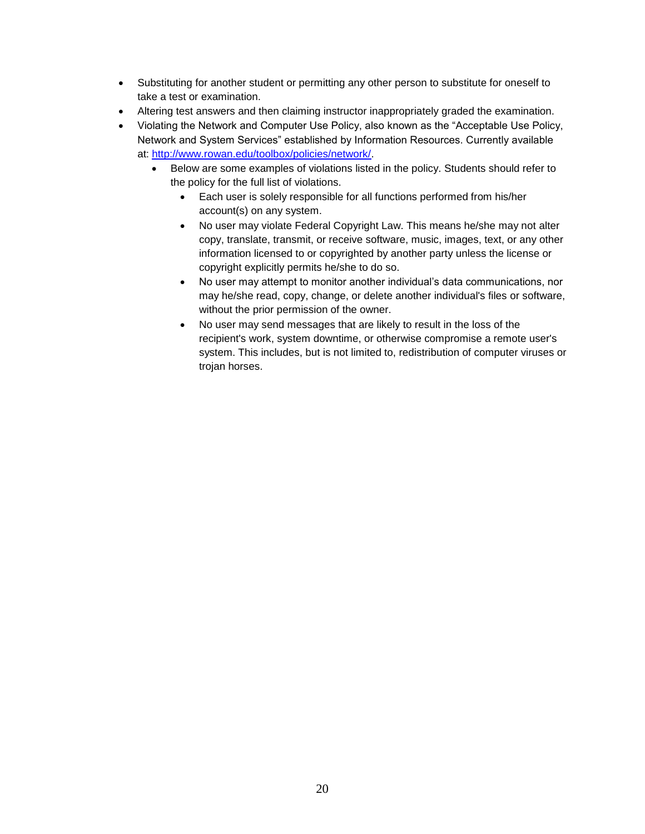- Substituting for another student or permitting any other person to substitute for oneself to take a test or examination.
- Altering test answers and then claiming instructor inappropriately graded the examination.
- Violating the Network and Computer Use Policy, also known as the "Acceptable Use Policy, Network and System Services" established by Information Resources. Currently available at: [http://www.rowan.edu/toolbox/policies/network/.](http://www.rowan.edu/toolbox/policies/network/)
	- Below are some examples of violations listed in the policy. Students should refer to the policy for the full list of violations.
		- Each user is solely responsible for all functions performed from his/her account(s) on any system.
		- No user may violate Federal Copyright Law. This means he/she may not alter copy, translate, transmit, or receive software, music, images, text, or any other information licensed to or copyrighted by another party unless the license or copyright explicitly permits he/she to do so.
		- No user may attempt to monitor another individual's data communications, nor may he/she read, copy, change, or delete another individual's files or software, without the prior permission of the owner.
		- No user may send messages that are likely to result in the loss of the recipient's work, system downtime, or otherwise compromise a remote user's system. This includes, but is not limited to, redistribution of computer viruses or trojan horses.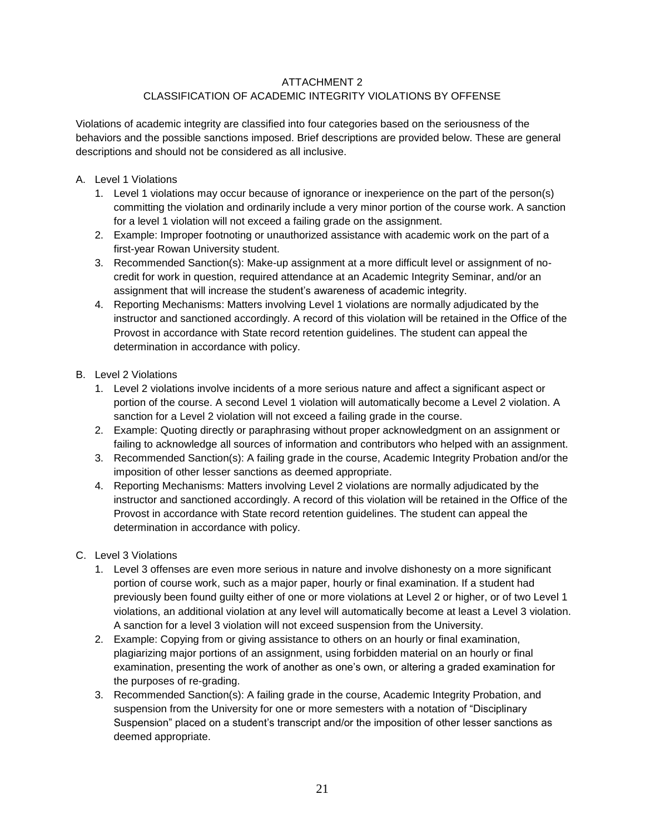### ATTACHMENT 2

### CLASSIFICATION OF ACADEMIC INTEGRITY VIOLATIONS BY OFFENSE

Violations of academic integrity are classified into four categories based on the seriousness of the behaviors and the possible sanctions imposed. Brief descriptions are provided below. These are general descriptions and should not be considered as all inclusive.

- A. Level 1 Violations
	- 1. Level 1 violations may occur because of ignorance or inexperience on the part of the person(s) committing the violation and ordinarily include a very minor portion of the course work. A sanction for a level 1 violation will not exceed a failing grade on the assignment.
	- 2. Example: Improper footnoting or unauthorized assistance with academic work on the part of a first-year Rowan University student.
	- 3. Recommended Sanction(s): Make-up assignment at a more difficult level or assignment of nocredit for work in question, required attendance at an Academic Integrity Seminar, and/or an assignment that will increase the student's awareness of academic integrity.
	- 4. Reporting Mechanisms: Matters involving Level 1 violations are normally adjudicated by the instructor and sanctioned accordingly. A record of this violation will be retained in the Office of the Provost in accordance with State record retention guidelines. The student can appeal the determination in accordance with policy.
- B. Level 2 Violations
	- 1. Level 2 violations involve incidents of a more serious nature and affect a significant aspect or portion of the course. A second Level 1 violation will automatically become a Level 2 violation. A sanction for a Level 2 violation will not exceed a failing grade in the course.
	- 2. Example: Quoting directly or paraphrasing without proper acknowledgment on an assignment or failing to acknowledge all sources of information and contributors who helped with an assignment.
	- 3. Recommended Sanction(s): A failing grade in the course, Academic Integrity Probation and/or the imposition of other lesser sanctions as deemed appropriate.
	- 4. Reporting Mechanisms: Matters involving Level 2 violations are normally adjudicated by the instructor and sanctioned accordingly. A record of this violation will be retained in the Office of the Provost in accordance with State record retention guidelines. The student can appeal the determination in accordance with policy.
- C. Level 3 Violations
	- 1. Level 3 offenses are even more serious in nature and involve dishonesty on a more significant portion of course work, such as a major paper, hourly or final examination. If a student had previously been found guilty either of one or more violations at Level 2 or higher, or of two Level 1 violations, an additional violation at any level will automatically become at least a Level 3 violation. A sanction for a level 3 violation will not exceed suspension from the University.
	- 2. Example: Copying from or giving assistance to others on an hourly or final examination, plagiarizing major portions of an assignment, using forbidden material on an hourly or final examination, presenting the work of another as one's own, or altering a graded examination for the purposes of re-grading.
	- 3. Recommended Sanction(s): A failing grade in the course, Academic Integrity Probation, and suspension from the University for one or more semesters with a notation of "Disciplinary Suspension" placed on a student's transcript and/or the imposition of other lesser sanctions as deemed appropriate.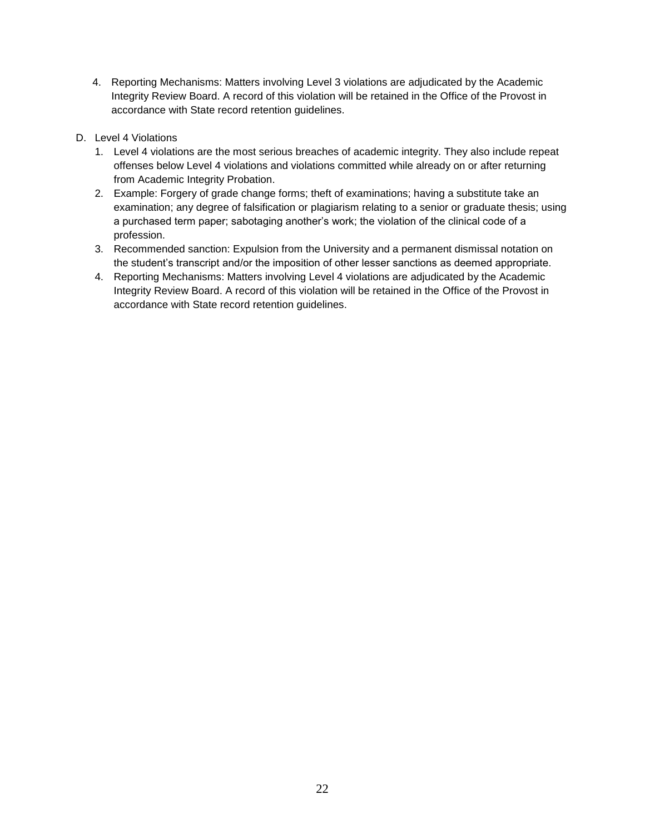- 4. Reporting Mechanisms: Matters involving Level 3 violations are adjudicated by the Academic Integrity Review Board. A record of this violation will be retained in the Office of the Provost in accordance with State record retention guidelines.
- D. Level 4 Violations
	- 1. Level 4 violations are the most serious breaches of academic integrity. They also include repeat offenses below Level 4 violations and violations committed while already on or after returning from Academic Integrity Probation.
	- 2. Example: Forgery of grade change forms; theft of examinations; having a substitute take an examination; any degree of falsification or plagiarism relating to a senior or graduate thesis; using a purchased term paper; sabotaging another's work; the violation of the clinical code of a profession.
	- 3. Recommended sanction: Expulsion from the University and a permanent dismissal notation on the student's transcript and/or the imposition of other lesser sanctions as deemed appropriate.
	- 4. Reporting Mechanisms: Matters involving Level 4 violations are adjudicated by the Academic Integrity Review Board. A record of this violation will be retained in the Office of the Provost in accordance with State record retention guidelines.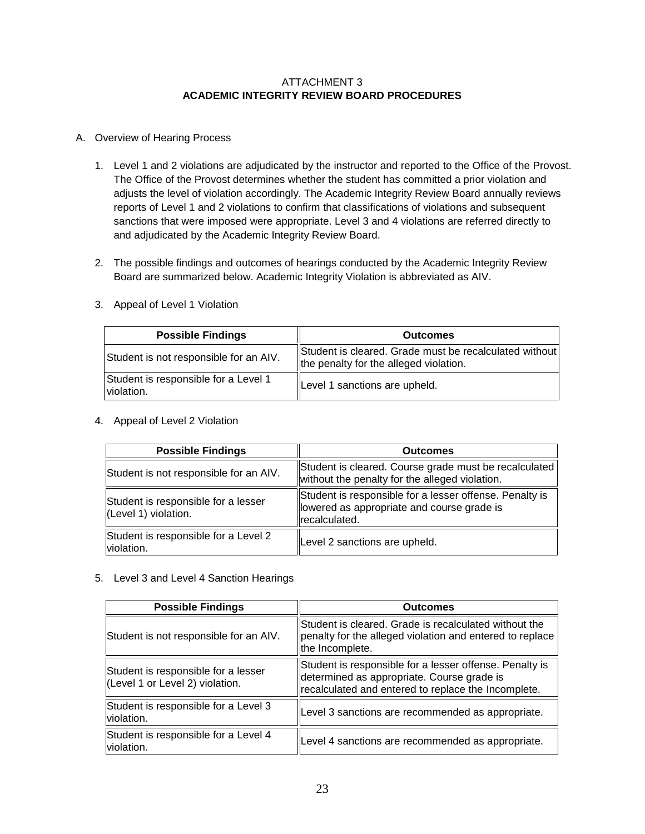### ATTACHMENT 3 **ACADEMIC INTEGRITY REVIEW BOARD PROCEDURES**

### A. Overview of Hearing Process

- 1. Level 1 and 2 violations are adjudicated by the instructor and reported to the Office of the Provost. The Office of the Provost determines whether the student has committed a prior violation and adjusts the level of violation accordingly. The Academic Integrity Review Board annually reviews reports of Level 1 and 2 violations to confirm that classifications of violations and subsequent sanctions that were imposed were appropriate. Level 3 and 4 violations are referred directly to and adjudicated by the Academic Integrity Review Board.
- 2. The possible findings and outcomes of hearings conducted by the Academic Integrity Review Board are summarized below. Academic Integrity Violation is abbreviated as AIV.

| <b>Possible Findings</b>                           | <b>Outcomes</b>                                                                                  |
|----------------------------------------------------|--------------------------------------------------------------------------------------------------|
| Student is not responsible for an AIV.             | Student is cleared. Grade must be recalculated without<br>the penalty for the alleged violation. |
| Student is responsible for a Level 1<br>violation. | Level 1 sanctions are upheld.                                                                    |

3. Appeal of Level 1 Violation

### 4. Appeal of Level 2 Violation

| <b>Possible Findings</b>                                    | <b>Outcomes</b>                                                                                                         |  |
|-------------------------------------------------------------|-------------------------------------------------------------------------------------------------------------------------|--|
| Student is not responsible for an AIV.                      | Student is cleared. Course grade must be recalculated<br>without the penalty for the alleged violation.                 |  |
| Student is responsible for a lesser<br>(Level 1) violation. | Student is responsible for a lesser offense. Penalty is<br>llowered as appropriate and course grade is<br>recalculated. |  |
| Student is responsible for a Level 2<br>violation.          | Level 2 sanctions are upheld.                                                                                           |  |

#### 5. Level 3 and Level 4 Sanction Hearings

| <b>Possible Findings</b>                                               | <b>Outcomes</b>                                                                                                                                              |  |
|------------------------------------------------------------------------|--------------------------------------------------------------------------------------------------------------------------------------------------------------|--|
| Student is not responsible for an AIV.                                 | Student is cleared. Grade is recalculated without the<br>penalty for the alleged violation and entered to replace<br>the Incomplete.                         |  |
| Student is responsible for a lesser<br>(Level 1 or Level 2) violation. | Student is responsible for a lesser offense. Penalty is<br>determined as appropriate. Course grade is<br>recalculated and entered to replace the Incomplete. |  |
| Student is responsible for a Level 3<br>violation.                     | Level 3 sanctions are recommended as appropriate.                                                                                                            |  |
| Student is responsible for a Level 4<br>violation.                     | Level 4 sanctions are recommended as appropriate.                                                                                                            |  |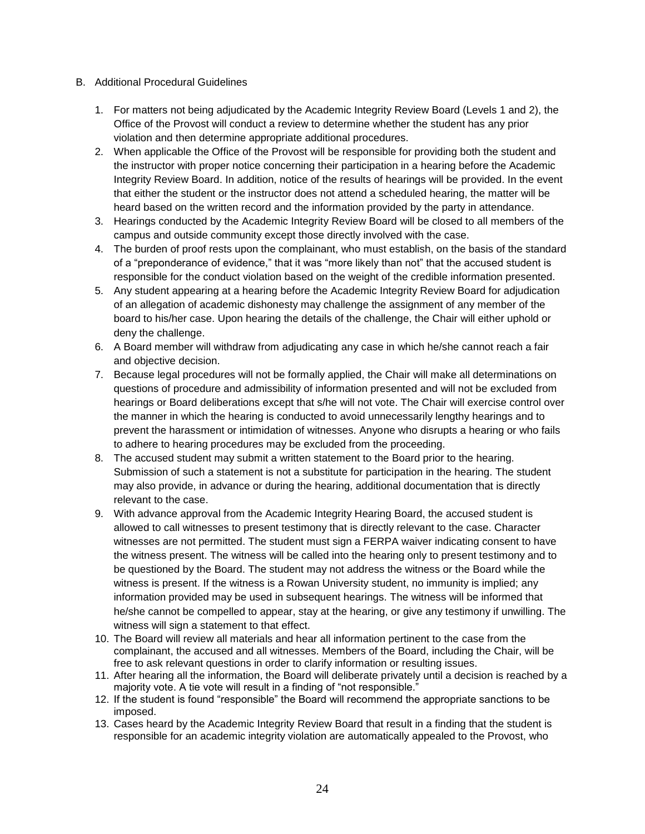- B. Additional Procedural Guidelines
	- 1. For matters not being adjudicated by the Academic Integrity Review Board (Levels 1 and 2), the Office of the Provost will conduct a review to determine whether the student has any prior violation and then determine appropriate additional procedures.
	- 2. When applicable the Office of the Provost will be responsible for providing both the student and the instructor with proper notice concerning their participation in a hearing before the Academic Integrity Review Board. In addition, notice of the results of hearings will be provided. In the event that either the student or the instructor does not attend a scheduled hearing, the matter will be heard based on the written record and the information provided by the party in attendance.
	- 3. Hearings conducted by the Academic Integrity Review Board will be closed to all members of the campus and outside community except those directly involved with the case.
	- 4. The burden of proof rests upon the complainant, who must establish, on the basis of the standard of a "preponderance of evidence," that it was "more likely than not" that the accused student is responsible for the conduct violation based on the weight of the credible information presented.
	- 5. Any student appearing at a hearing before the Academic Integrity Review Board for adjudication of an allegation of academic dishonesty may challenge the assignment of any member of the board to his/her case. Upon hearing the details of the challenge, the Chair will either uphold or deny the challenge.
	- 6. A Board member will withdraw from adjudicating any case in which he/she cannot reach a fair and objective decision.
	- 7. Because legal procedures will not be formally applied, the Chair will make all determinations on questions of procedure and admissibility of information presented and will not be excluded from hearings or Board deliberations except that s/he will not vote. The Chair will exercise control over the manner in which the hearing is conducted to avoid unnecessarily lengthy hearings and to prevent the harassment or intimidation of witnesses. Anyone who disrupts a hearing or who fails to adhere to hearing procedures may be excluded from the proceeding.
	- 8. The accused student may submit a written statement to the Board prior to the hearing. Submission of such a statement is not a substitute for participation in the hearing. The student may also provide, in advance or during the hearing, additional documentation that is directly relevant to the case.
	- 9. With advance approval from the Academic Integrity Hearing Board, the accused student is allowed to call witnesses to present testimony that is directly relevant to the case. Character witnesses are not permitted. The student must sign a FERPA waiver indicating consent to have the witness present. The witness will be called into the hearing only to present testimony and to be questioned by the Board. The student may not address the witness or the Board while the witness is present. If the witness is a Rowan University student, no immunity is implied; any information provided may be used in subsequent hearings. The witness will be informed that he/she cannot be compelled to appear, stay at the hearing, or give any testimony if unwilling. The witness will sign a statement to that effect.
	- 10. The Board will review all materials and hear all information pertinent to the case from the complainant, the accused and all witnesses. Members of the Board, including the Chair, will be free to ask relevant questions in order to clarify information or resulting issues.
	- 11. After hearing all the information, the Board will deliberate privately until a decision is reached by a majority vote. A tie vote will result in a finding of "not responsible."
	- 12. If the student is found "responsible" the Board will recommend the appropriate sanctions to be imposed.
	- 13. Cases heard by the Academic Integrity Review Board that result in a finding that the student is responsible for an academic integrity violation are automatically appealed to the Provost, who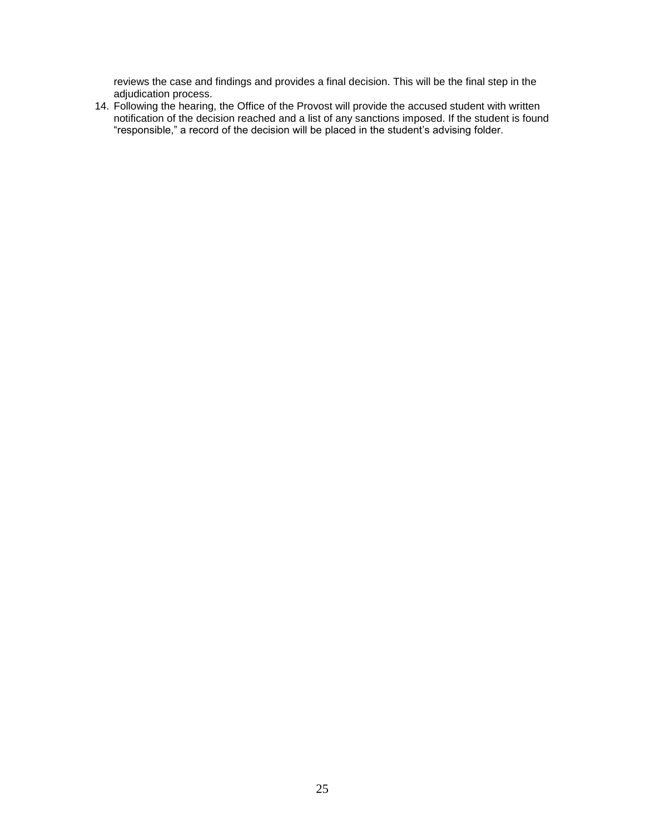reviews the case and findings and provides a final decision. This will be the final step in the adjudication process.

14. Following the hearing, the Office of the Provost will provide the accused student with written notification of the decision reached and a list of any sanctions imposed. If the student is found "responsible," a record of the decision will be placed in the student's advising folder.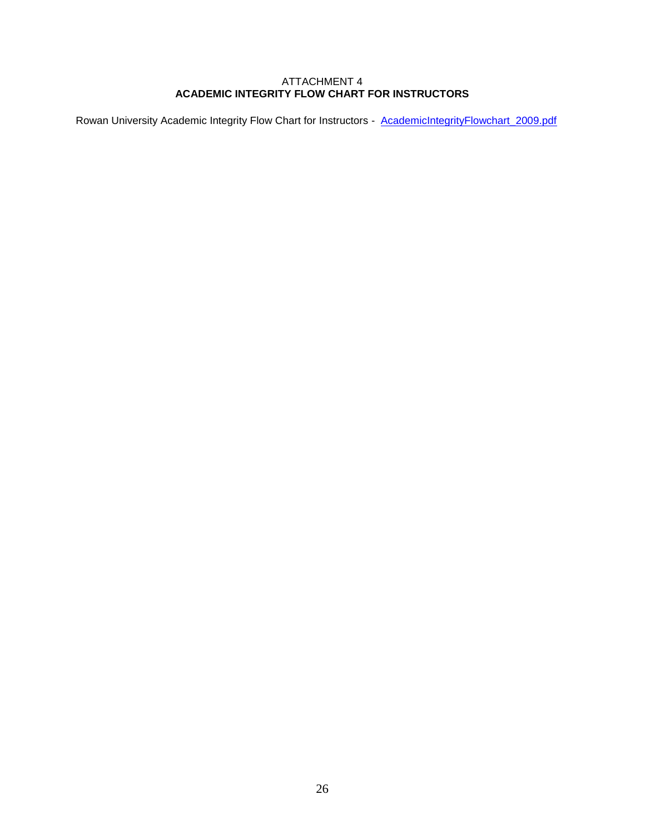#### ATTACHMENT 4 **ACADEMIC INTEGRITY FLOW CHART FOR INSTRUCTORS**

Rowan University Academic Integrity Flow Chart for Instructors - [AcademicIntegrityFlowchart\\_2009.pdf](file:///C:/download/attachments/55772429/AcademicIntegrityFlowchart_2009.pdf%3fversion=1&modificationDate=1426530508000&api=v2)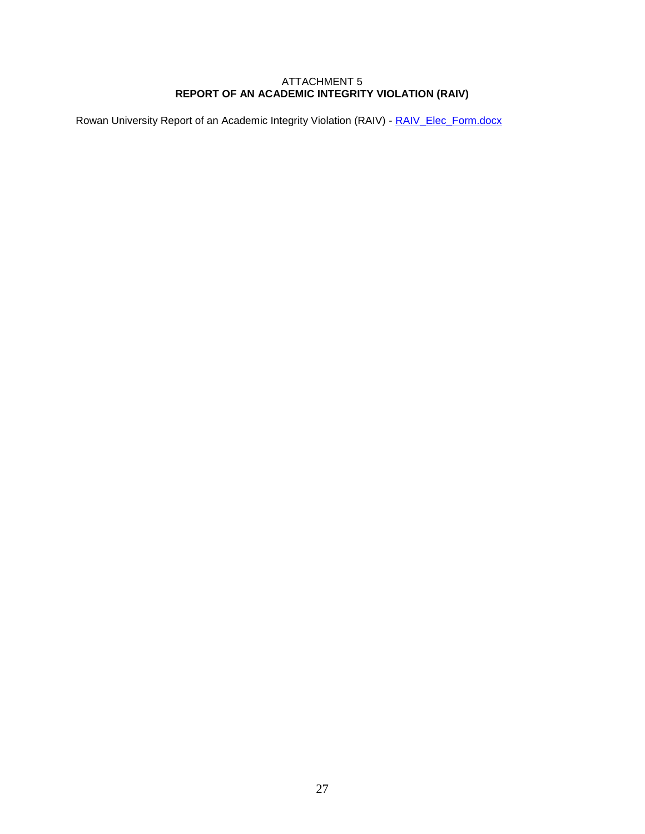### ATTACHMENT 5 **REPORT OF AN ACADEMIC INTEGRITY VIOLATION (RAIV)**

Rowan University Report of an Academic Integrity Violation (RAIV) - RAIV Elec\_Form.docx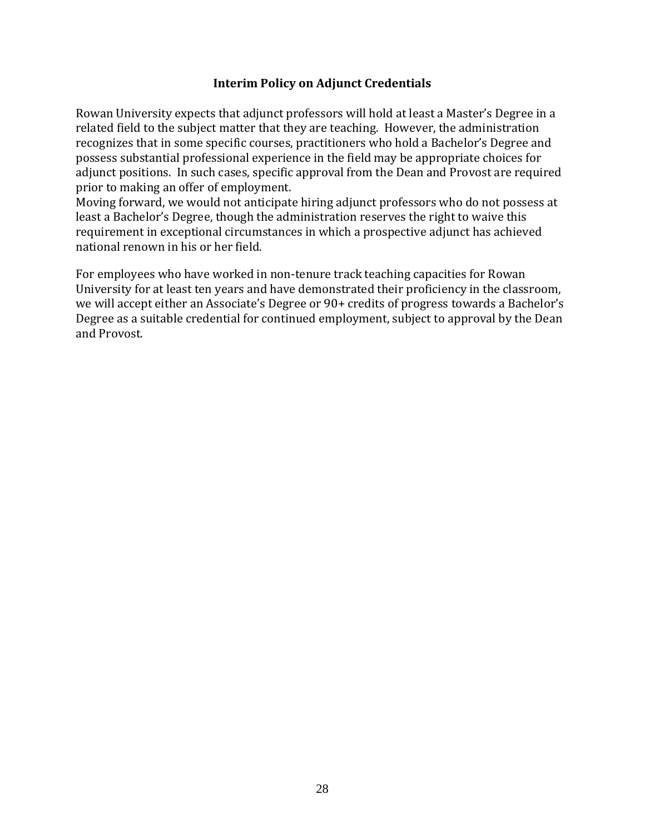### **Interim Policy on Adjunct Credentials**

Rowan University expects that adjunct professors will hold at least a Master's Degree in a related field to the subject matter that they are teaching. However, the administration recognizes that in some specific courses, practitioners who hold a Bachelor's Degree and possess substantial professional experience in the field may be appropriate choices for adjunct positions. In such cases, specific approval from the Dean and Provost are required prior to making an offer of employment.

Moving forward, we would not anticipate hiring adjunct professors who do not possess at least a Bachelor's Degree, though the administration reserves the right to waive this requirement in exceptional circumstances in which a prospective adjunct has achieved national renown in his or her field.

For employees who have worked in non-tenure track teaching capacities for Rowan University for at least ten years and have demonstrated their proficiency in the classroom, we will accept either an Associate's Degree or 90+ credits of progress towards a Bachelor's Degree as a suitable credential for continued employment, subject to approval by the Dean and Provost.